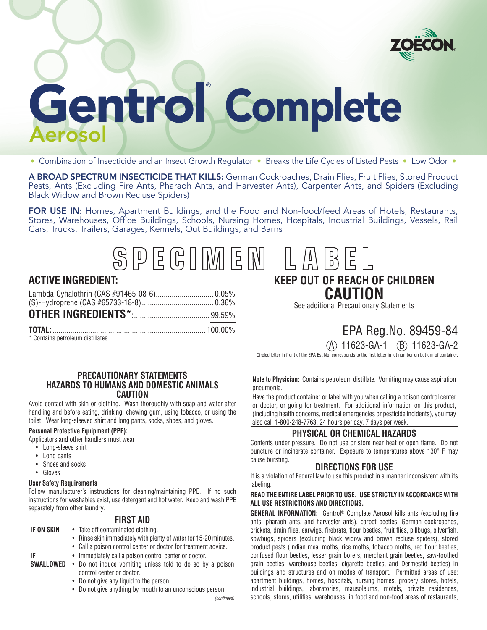

# Gentrol Gentrol Complete

• Combination of Insecticide and an Insect Growth Regulator • Breaks the Life Cycles of Listed Pests • Low Odor •

A BROAD SPECTRUM INSECTICIDE THAT KILLS: German Cockroaches, Drain Flies, Fruit Flies, Stored Product Pests, Ants (Excluding Fire Ants, Pharaoh Ants, and Harvester Ants), Carpenter Ants, and Spiders (Excluding Black Widow and Brown Recluse Spiders)

FOR USE IN: Homes, Apartment Buildings, and the Food and Non-food/feed Areas of Hotels, Restaurants, Stores, Warehouses, Office Buildings, Schools, Nursing Homes, Hospitals, Industrial Buildings, Vessels, Rail Cars, Trucks, Trailers, Garages, Kennels, Out Buildings, and Barns

SPEGIMEN

# **ACTIVE INGREDIENT:**

\* Contains petroleum distillates

# **KEEP OUT OF REACH OF CHILDREN CAUTION**

 $\overline{E}$ 

 $D$ 

 $\binom{N}{D}$ 

See additional Precautionary Statements

# EPA Reg.No. 89459-84

# $(A)$  11623-GA-1  $(B)$  11623-GA-2

Circled letter in front of the EPA Est No. corresponds to the first letter in lot number on bottom of container.

### **PRECAUTIONARY STATEMENTS HAZARDS TO HUMANS AND DOMESTIC ANIMALS CAUTION**

Avoid contact with skin or clothing. Wash thoroughly with soap and water after handling and before eating, drinking, chewing gum, using tobacco, or using the toilet. Wear long-sleeved shirt and long pants, socks, shoes, and gloves.

## **Personal Protective Equipment (PPE):**

Applicators and other handlers must wear

- Long-sleeve shirt
- Long pants
- Shoes and socks
- Gloves

#### **User Safety Requirements**

Follow manufacturer's instructions for cleaning/maintaining PPE. If no such instructions for washables exist, use detergent and hot water. Keep and wash PPE separately from other laundry.

| <b>FIRST AID</b>          |                                                                  |
|---------------------------|------------------------------------------------------------------|
| <b>IF ON SKIN</b>         | • Take off contaminated clothing.                                |
|                           | • Rinse skin immediately with plenty of water for 15-20 minutes. |
|                           | Call a poison control center or doctor for treatment advice.     |
| IF                        | • Immediately call a poison control center or doctor.            |
| <b>SWALLOWED</b>          | • Do not induce vomiting unless told to do so by a poison        |
| control center or doctor. |                                                                  |
|                           | Do not give any liquid to the person.                            |
|                           | • Do not give anything by mouth to an unconscious person.        |
|                           | (continued)                                                      |

**Note to Physician:** Contains petroleum distillate. Vomiting may cause aspiration pneumonia.

Have the product container or label with you when calling a poison control center or doctor, or going for treatment. For additional information on this product, (including health concerns, medical emergencies or pesticide incidents), you may also call 1-800-248-7763, 24 hours per day, 7 days per week.

# **PHYSICAL OR CHEMICAL HAZARDS**

Contents under pressure. Do not use or store near heat or open flame. Do not puncture or incinerate container. Exposure to temperatures above 130° F may cause bursting.

# **DIRECTIONS FOR USE**

It is a violation of Federal law to use this product in a manner inconsistent with its labeling.

#### **READ THE ENTIRE LABEL PRIOR TO USE. USE STRICTLY IN ACCORDANCE WITH ALL USE RESTRICTIONS AND DIRECTIONS.**

**GENERAL INFORMATION:** Gentrol® Complete Aerosol kills ants (excluding fire ants, pharaoh ants, and harvester ants), carpet beetles, German cockroaches, crickets, drain flies, earwigs, firebrats, flour beetles, fruit flies, pillbugs, silverfish, sowbugs, spiders (excluding black widow and brown recluse spiders), stored product pests (Indian meal moths, rice moths, tobacco moths, red flour beetles, confused flour beetles, lesser grain borers, merchant grain beetles, saw-toothed grain beetles, warehouse beetles, cigarette beetles, and Dermestid beetles) in buildings and structures and on modes of transport. Permitted areas of use: apartment buildings, homes, hospitals, nursing homes, grocery stores, hotels, industrial buildings, laboratories, mausoleums, motels, private residences, schools, stores, utilities, warehouses, in food and non-food areas of restaurants,